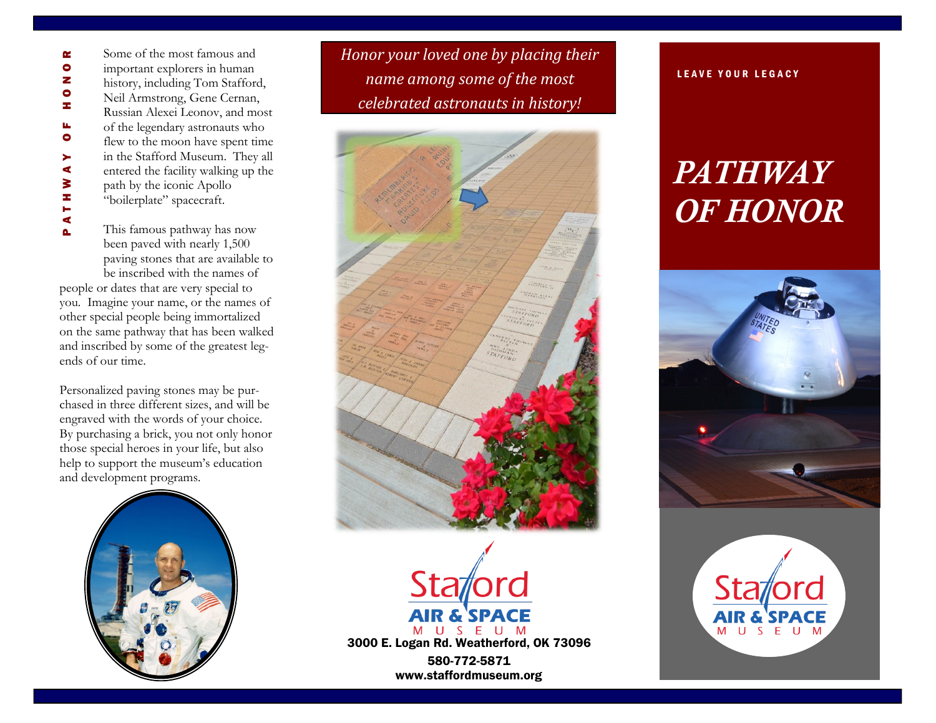Some of the most famous and P A T H W A Y O F H O N O R œ  $\bullet$ important explorers in human z history, including Tom Stafford,  $\bullet$ Neil Armstrong, Gene Cernan, z Russian Alexei Leonov, and most of the legendary astronauts who u,  $\bullet$ flew to the moon have spent time in the Stafford Museum. They all  $\blacktriangleright$ ∢ entered the facility walking up the ATHW path by the iconic Apollo "boilerplate" spacecraft.

This famous pathway has now been paved with nearly 1,500 paving stones that are available to be inscribed with the names of

Δ.

people or dates that are very special to you. Imagine your name, or the names of other special people being immortalized on the same pathway that has been walked and inscribed by some of the greatest legends of our time.

Personalized paving stones may be purchased in three different sizes, and will be engraved with the words of your choice. By purchasing a brick, you not only honor those special heroes in your life, but also help to support the museum's education and development programs.



*Honor your loved one by placing their name among some of the most celebrated astronauts in history!*





## LEAVE YOUR LEGACY

## *PATHWAY OF HONOR*